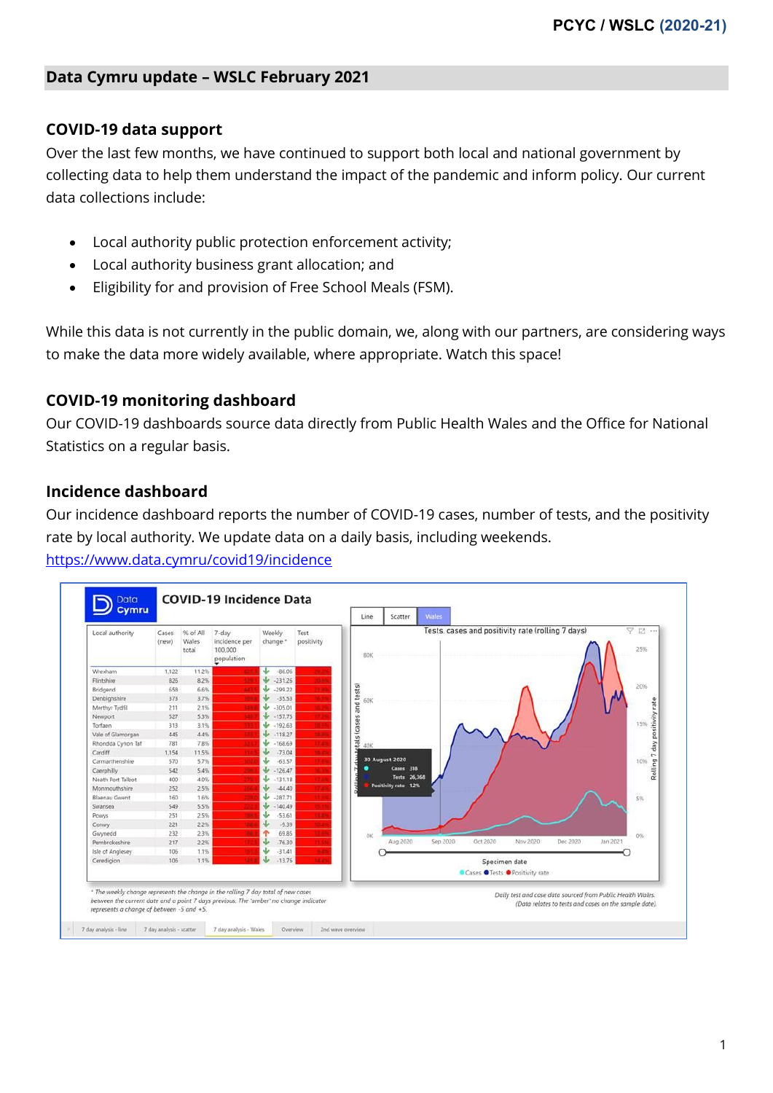#### **Data Cymru update – WSLC February 2021**

#### **COVID-19 data support**

Over the last few months, we have continued to support both local and national government by collecting data to help them understand the impact of the pandemic and inform policy. Our current data collections include:

- Local authority public protection enforcement activity;
- Local authority business grant allocation; and
- Eligibility for and provision of Free School Meals (FSM).

While this data is not currently in the public domain, we, along with our partners, are considering ways to make the data more widely available, where appropriate. Watch this space!

#### **COVID-19 monitoring dashboard**

Our COVID-19 dashboards source data directly from Public Health Wales and the Office for National Statistics on a regular basis.

#### **Incidence dashboard**

Our incidence dashboard reports the number of COVID-19 cases, number of tests, and the positivity rate by local authority. We update data on a daily basis, including weekends.

<https://www.data.cymru/covid19/incidence>

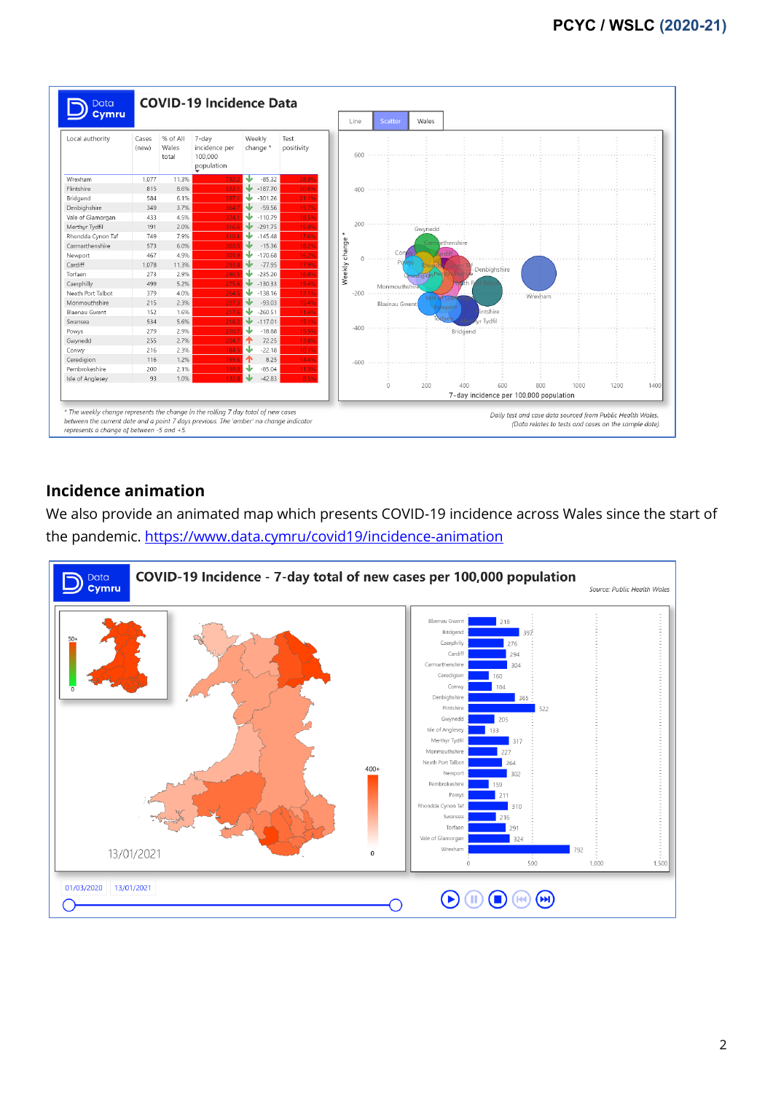

# **Incidence animation**

We also provide an animated map which presents COVID-19 incidence across Wales since the start of the pandemic. <https://www.data.cymru/covid19/incidence-animation>

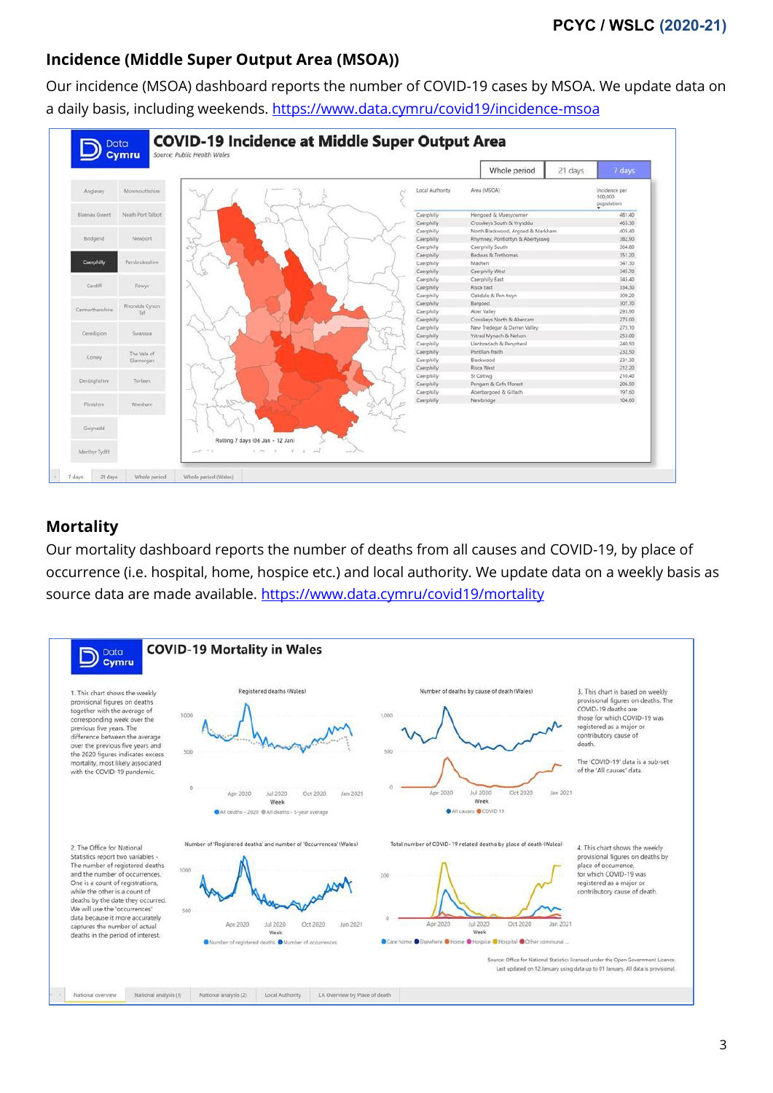# **Incidence (Middle Super Output Area (MSOA))**

Our incidence (MSOA) dashboard reports the number of COVID-19 cases by MSOA. We update data on a daily basis, including weekends. <https://www.data.cymru/covid19/incidence-msoa>



# **Mortality**

Our mortality dashboard reports the number of deaths from all causes and COVID-19, by place of occurrence (i.e. hospital, home, hospice etc.) and local authority. We update data on a weekly basis as source data are made available. <https://www.data.cymru/covid19/mortality>

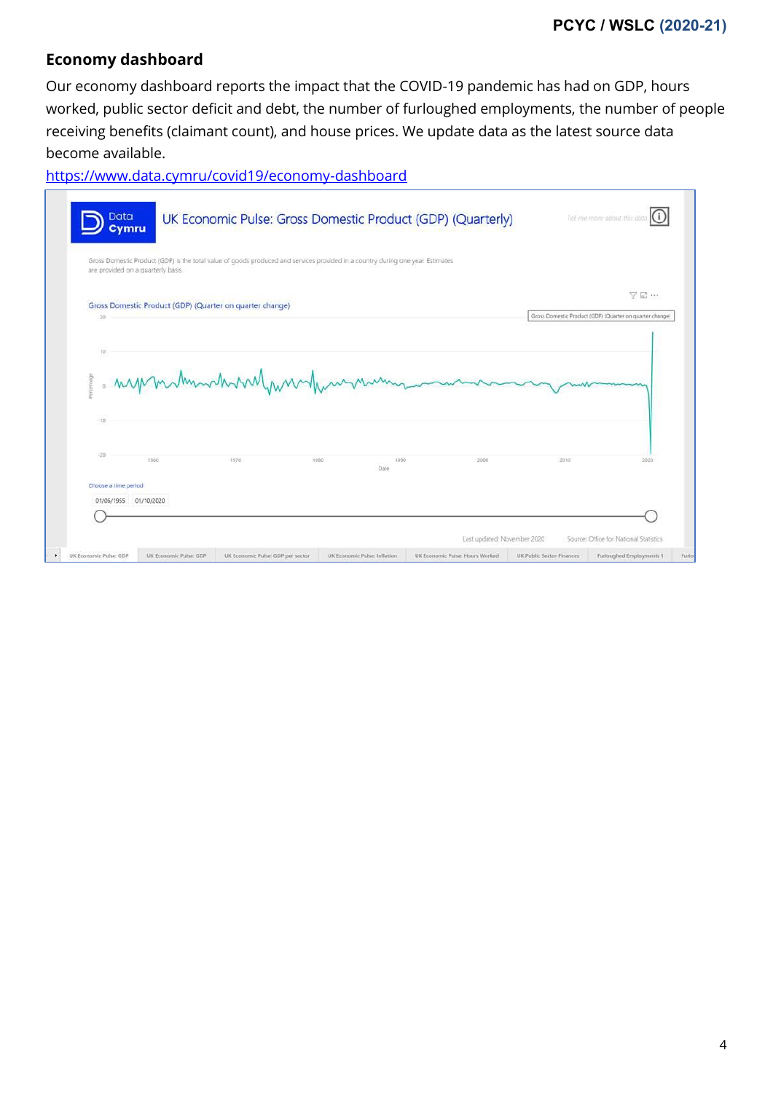# **Economy dashboard**

Our economy dashboard reports the impact that the COVID-19 pandemic has had on GDP, hours worked, public sector deficit and debt, the number of furloughed employments, the number of people receiving benefits (claimant count), and house prices. We update data as the latest source data become available.

<https://www.data.cymru/covid19/economy-dashboard>

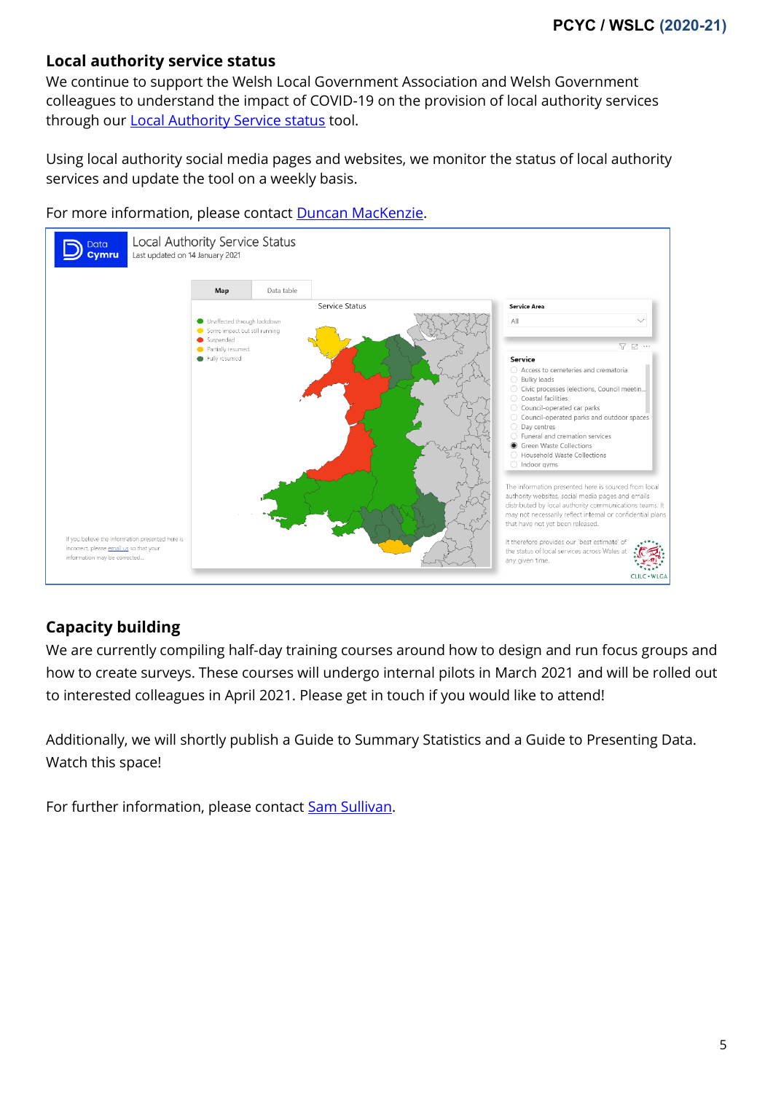#### **Local authority service status**

We continue to support the Welsh Local Government Association and Welsh Government colleagues to understand the impact of COVID-19 on the provision of local authority services through our **Local Authority Service status tool.** 

Using local authority social media pages and websites, we monitor the status of local authority services and update the tool on a weekly basis.





# **Capacity building**

We are currently compiling half-day training courses around how to design and run focus groups and how to create surveys. These courses will undergo internal pilots in March 2021 and will be rolled out to interested colleagues in April 2021. Please get in touch if you would like to attend!

Additionally, we will shortly publish a Guide to Summary Statistics and a Guide to Presenting Data. Watch this space!

For further information, please contact **Sam Sullivan**.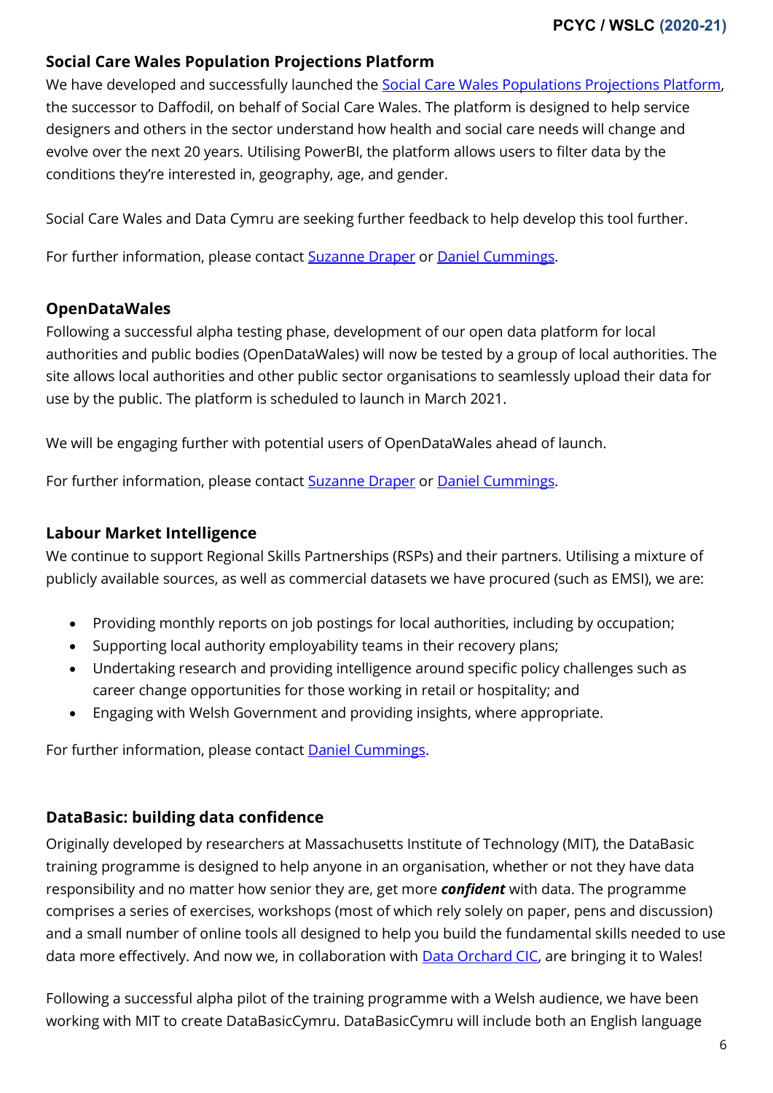### **Social Care Wales Population Projections Platform**

We have developed and successfully launched the [Social Care Wales Populations Projections Platform,](http://projections.socialcaredata.wales/) the successor to Daffodil, on behalf of Social Care Wales. The platform is designed to help service designers and others in the sector understand how health and social care needs will change and evolve over the next 20 years. Utilising PowerBI, the platform allows users to filter data by the conditions they're interested in, geography, age, and gender.

Social Care Wales and Data Cymru are seeking further feedback to help develop this tool further.

For further information, please contact **Suzanne Draper or [Daniel Cummings.](mailto:daniel.cummings@data.cymru)** 

### **OpenDataWales**

Following a successful alpha testing phase, development of our open data platform for local authorities and public bodies (OpenDataWales) will now be tested by a group of local authorities. The site allows local authorities and other public sector organisations to seamlessly upload their data for use by the public. The platform is scheduled to launch in March 2021.

We will be engaging further with potential users of OpenDataWales ahead of launch.

For further information, please contact [Suzanne Draper](mailto:Suzanne.draper@data.cymru) or [Daniel Cummings.](mailto:daniel.cummings@data.cymru)

#### **Labour Market Intelligence**

We continue to support Regional Skills Partnerships (RSPs) and their partners. Utilising a mixture of publicly available sources, as well as commercial datasets we have procured (such as EMSI), we are:

- Providing monthly reports on job postings for local authorities, including by occupation;
- Supporting local authority employability teams in their recovery plans;
- Undertaking research and providing intelligence around specific policy challenges such as career change opportunities for those working in retail or hospitality; and
- Engaging with Welsh Government and providing insights, where appropriate.

For further information, please contact **Daniel Cummings.** 

# **DataBasic: building data confidence**

Originally developed by researchers at Massachusetts Institute of Technology (MIT), the DataBasic training programme is designed to help anyone in an organisation, whether or not they have data responsibility and no matter how senior they are, get more *confident* with data. The programme comprises a series of exercises, workshops (most of which rely solely on paper, pens and discussion) and a small number of online tools all designed to help you build the fundamental skills needed to use data more effectively. And now we, in collaboration with **Data Orchard CIC**, are bringing it to Wales!

Following a successful alpha pilot of the training programme with a Welsh audience, we have been working with MIT to create DataBasicCymru. DataBasicCymru will include both an English language